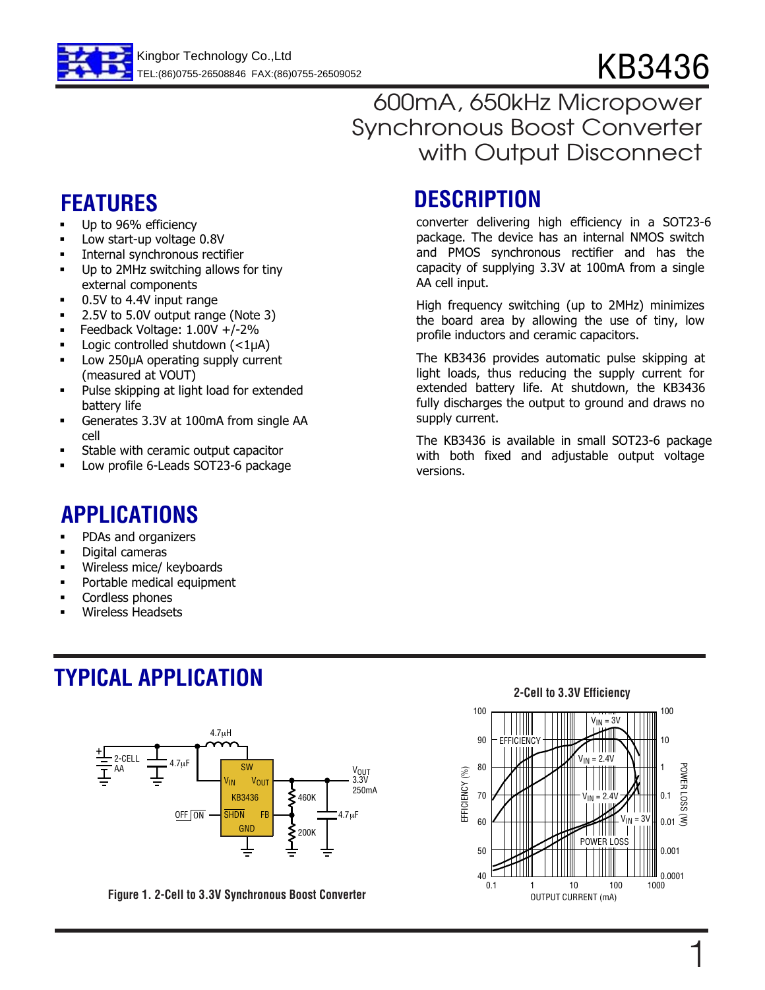

## 600mA, 650kHz Micropower Synchronous Boost Converter with Output Disconnect

- Up to 96% efficiency
- Low start-up voltage 0.8V
- Internal synchronous rectifier
- Up to 2MHz switching allows for tiny external components
- 0.5V to 4.4V input range
- 2.5V to 5.0V output range (Note 3)
- . Feedback Voltage: 1.00V +/-2%
- Logic controlled shutdown  $\left($  < 1 $\mu$ A)
- Low 250µA operating supply current (measured at VOUT)
- Pulse skipping at light load for extended battery life
- Generates 3.3V at 100mA from single AA cell
- Stable with ceramic output capacitor
- Low profile 6-Leads SOT23-6 package

## **APPLICATIONS**

- **•** PDAs and organizers
- Digital cameras
- Wireless mice/ keyboards
- Portable medical equipment
- Cordless phones
- Wireless Headsets

# **TYPICAL APPLICATION**



**Figure 1. 2-Cell to 3.3V Synchronous Boost Converter**

# **FEATURES DESCRIPTION**

converter delivering high efficiency in a SOT23-6 package. The device has an internal NMOS switch and PMOS synchronous rectifier and has the capacity of supplying 3.3V at 100mA from a single AA cell input.

High frequency switching (up to 2MHz) minimizes the board area by allowing the use of tiny, low profile inductors and ceramic capacitors.

The KB3436 provides automatic pulse skipping at light loads, thus reducing the supply current for extended battery life. At shutdown, the KB3436 fully discharges the output to ground and draws no supply current.

The KB3436 is available in small SOT23-6 package with both fixed and adjustable output voltage versions.

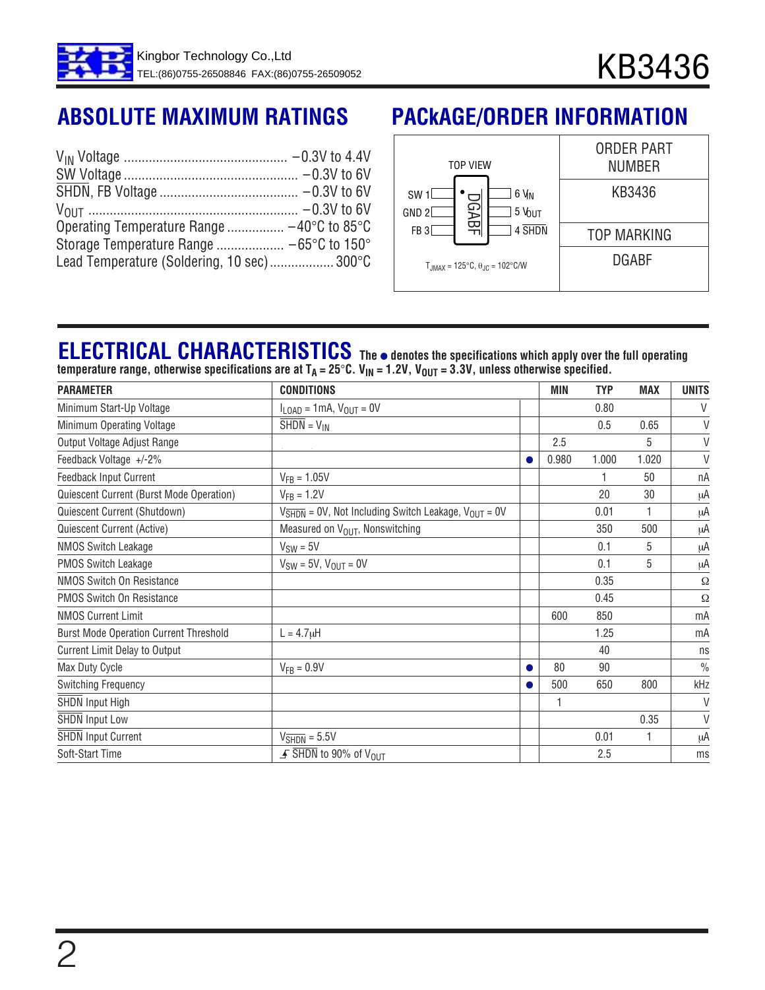| Lead Temperature (Soldering, 10 sec) 300°C |  |
|--------------------------------------------|--|

# **ABSOLUTE MAXIMUM RATINGS PACkAGE/ORDER INFORMATION**



# **ELECTRICAL CHARACTERISTICS**

**The** ● **denotes the specifications which apply over the full operating** temperature range, otherwise specifications are at T<sub>A</sub> = 25°C. V<sub>IN</sub> = 1.2V, V<sub>OUT</sub> = 3.3V, unless otherwise specified.

| <b>PARAMETER</b>                              | <b>CONDITIONS</b>                                                                      |   | MIN   | <b>TYP</b> | <b>MAX</b>   | <b>UNITS</b>  |
|-----------------------------------------------|----------------------------------------------------------------------------------------|---|-------|------------|--------------|---------------|
| Minimum Start-Up Voltage                      | $I_{\text{LOAD}} = 1 \text{mA}, V_{\text{OUT}} = 0V$                                   |   |       | 0.80       |              | V             |
| Minimum Operating Voltage                     | $SHDN = V_{IN}$                                                                        |   |       | 0.5        | 0.65         | V             |
| Output Voltage Adjust Range                   |                                                                                        |   | 2.5   |            | 5            | $\vee$        |
| Feedback Voltage +/-2%                        |                                                                                        | ● | 0.980 | 1.000      | 1.020        | $\vee$        |
| Feedback Input Current                        | $V_{FB} = 1.05V$                                                                       |   |       |            | 50           | пA            |
| Quiescent Current (Burst Mode Operation)      | $V_{FR} = 1.2V$                                                                        |   |       | 20         | 30           | μA            |
| Quiescent Current (Shutdown)                  | $V_{\overline{\text{SHDN}}}$ = 0V, Not Including Switch Leakage, $V_{\text{OUT}}$ = 0V |   |       | 0.01       | 1            | μA            |
| Quiescent Current (Active)                    | Measured on V <sub>OUT</sub> , Nonswitching                                            |   |       | 350        | 500          | μA            |
| <b>NMOS Switch Leakage</b>                    | $V_{SW} = 5V$                                                                          |   |       | 0.1        | 5            | μA            |
| <b>PMOS Switch Leakage</b>                    | $V_{SW} = 5V$ , $V_{OUT} = 0V$                                                         |   |       | 0.1        | 5            | μA            |
| NMOS Switch On Resistance                     |                                                                                        |   |       | 0.35       |              | Ω             |
| <b>PMOS Switch On Resistance</b>              |                                                                                        |   |       | 0.45       |              | Ω             |
| <b>NMOS Current Limit</b>                     |                                                                                        |   | 600   | 850        |              | mA            |
| <b>Burst Mode Operation Current Threshold</b> | $L = 4.7 \mu H$                                                                        |   |       | 1.25       |              | mA            |
| <b>Current Limit Delay to Output</b>          |                                                                                        |   |       | 40         |              | ns            |
| Max Duty Cycle                                | $V_{FB} = 0.9V$                                                                        | ● | 80    | 90         |              | $\frac{0}{0}$ |
| <b>Switching Frequency</b>                    |                                                                                        |   | 500   | 650        | 800          | kHz           |
| SHDN Input High                               |                                                                                        |   |       |            |              | V             |
| <b>SHDN Input Low</b>                         |                                                                                        |   |       |            | 0.35         | V             |
| <b>SHDN Input Current</b>                     | $V_{\overline{\text{SHDN}}}$ = 5.5V                                                    |   |       | 0.01       | $\mathbf{1}$ | μA            |
| Soft-Start Time                               | $\overline{F}$ SHDN to 90% of V <sub>OUT</sub>                                         |   |       | 2.5        |              | ms            |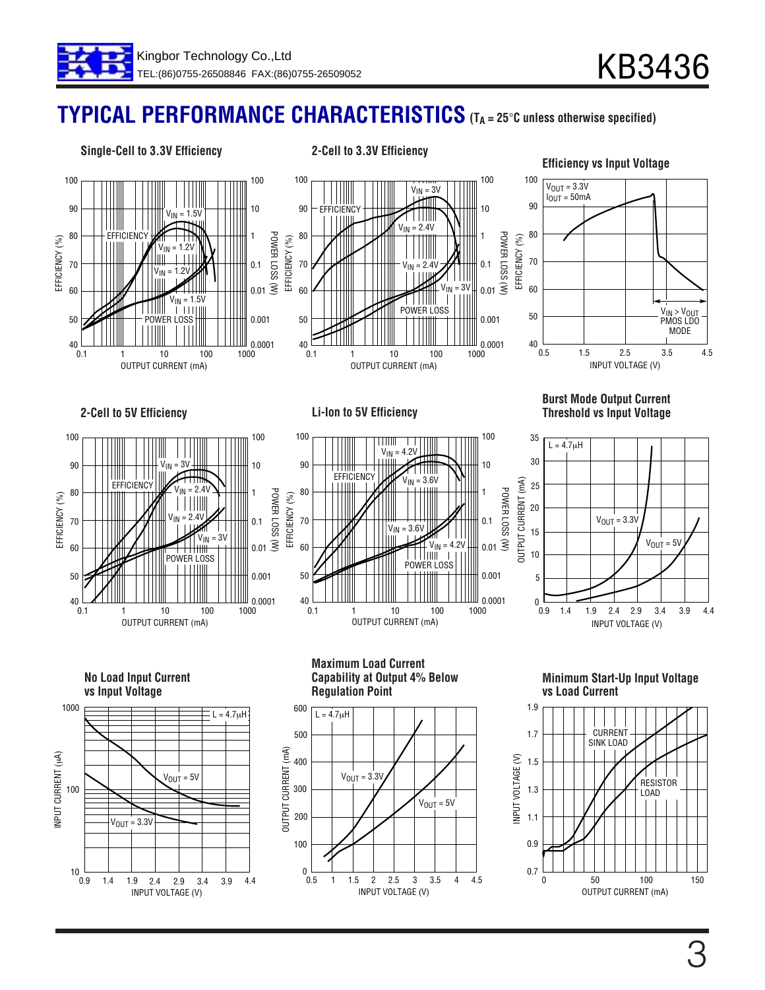# **(TA = 25**°**C unless otherwise specified) TYPICAL PERFORMANCE CHARACTERISTICS**

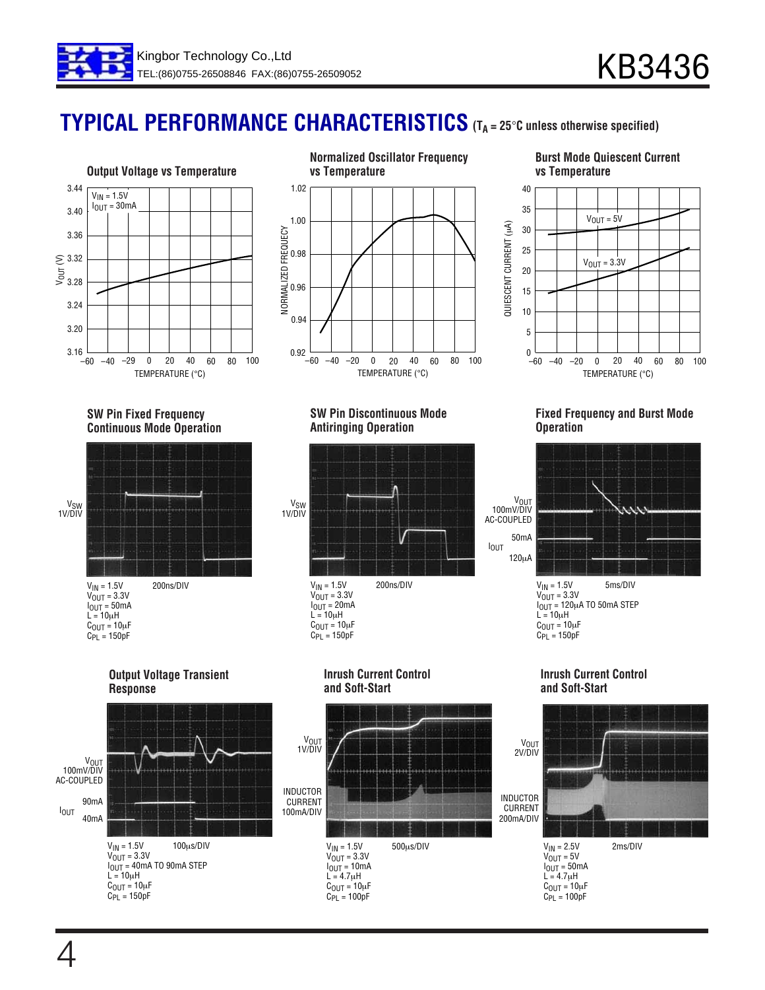

# **TYPICAL PERFORMANCE CHARACTERISTICS (TA = 25**°**C unless otherwise specified)**





#### **Burst Mode Quiescent Current vs Temperature**



#### **SW Pin Fixed Frequency Continuous Mode Operation**



#### **SW Pin Discontinuous Mode Antiringing Operation**



**Inrush Current Control and Soft-Start**

#### **Fixed Frequency and Burst Mode Operation**



C<sub>OUT</sub> = 10µF<br>C<sub>PL</sub> = 150pF

#### **Inrush Current Control and Soft-Start**



#### **Output Voltage Transient Response**



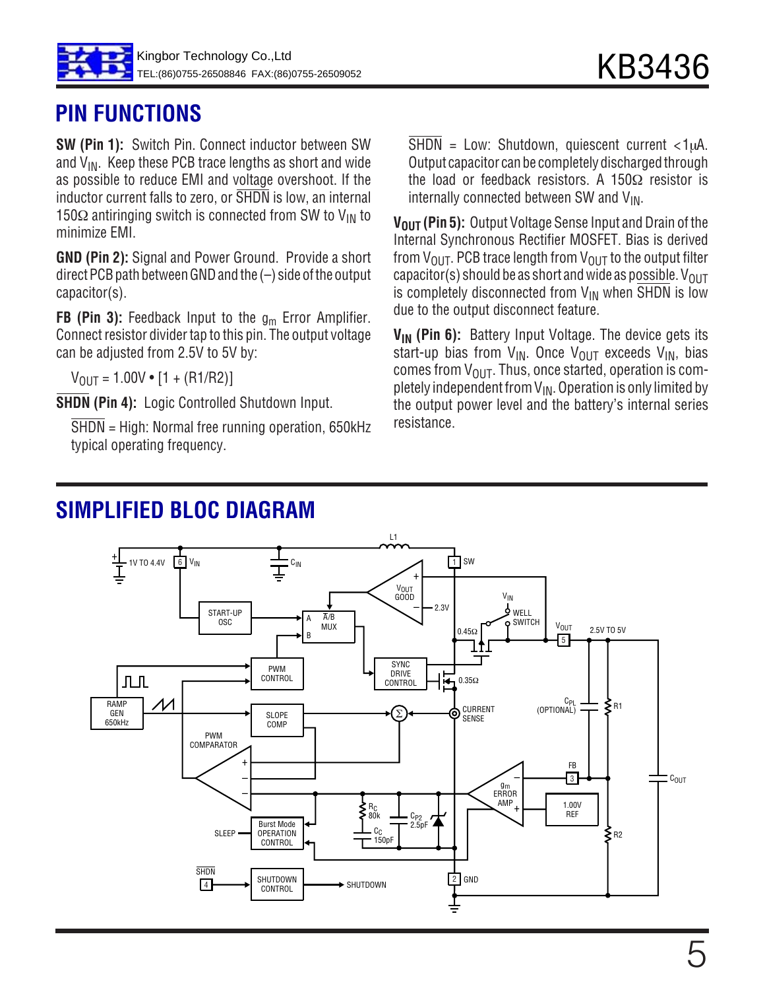

## **PIN FUNCTIONS**

**SW (Pin 1):** Switch Pin. Connect inductor between SW and  $V_{IN}$ . Keep these PCB trace lengths as short and wide as possible to reduce EMI and voltage overshoot. If the inductor current falls to zero, or SHDN is low, an internal 150 $\Omega$  antiringing switch is connected from SW to V<sub>IN</sub> to minimize EMI.

**GND (Pin 2):** Signal and Power Ground. Provide a short direct PCB path between GND and the (–) side of the output capacitor(s).

**FB (Pin 3):** Feedback Input to the g<sub>m</sub> Error Amplifier. Connect resistor divider tap to this pin. The output voltage can be adjusted from 2.5V to 5V by:

 $V_{\text{OUT}} = 1.00V \cdot [1 + (R1/R2)]$ 

**SHDN (Pin 4):** Logic Controlled Shutdown Input.

SHDN = High: Normal free running operation, 650kHz typical operating frequency.

 $\overline{\text{SHDN}}$  = Low: Shutdown, quiescent current <1 $\mu$ A. Output capacitor can be completely discharged through the load or feedback resistors. A 150 $\Omega$  resistor is internally connected between SW and  $V_{IN}$ .

**V<sub>OUT</sub>** (Pin 5): Output Voltage Sense Input and Drain of the Internal Synchronous Rectifier MOSFET. Bias is derived from  $V_{\text{OUT}}$ . PCB trace length from  $V_{\text{OUT}}$  to the output filter capacitor(s) should be as short and wide as possible.  $V_{OUT}$ is completely disconnected from  $V_{IN}$  when SHDN is low due to the output disconnect feature.

**V<sub>IN</sub>** (Pin 6): Battery Input Voltage. The device gets its start-up bias from  $V_{IN}$ . Once  $V_{OUT}$  exceeds  $V_{IN}$ , bias comes from  $V_{\text{OUT}}$ . Thus, once started, operation is completely independent from  $V_{IN}$ . Operation is only limited by the output power level and the battery's internal series resistance.

## **SIMPLIFIED BLOC DIAGRAM**

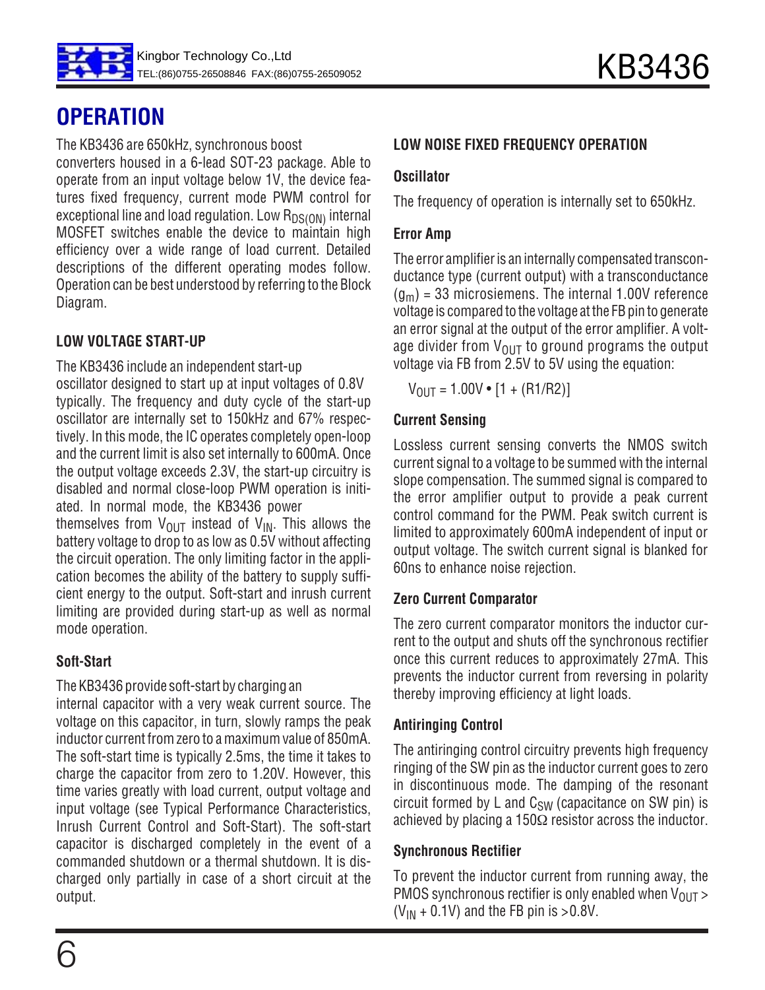

# **OPERATION**

The KB3436 are 650kHz, synchronous boost

converters housed in a 6-lead SOT-23 package. Able to operate from an input voltage below 1V, the device features fixed frequency, current mode PWM control for exceptional line and load regulation. Low  $R_{DS(ON)}$  internal MOSFET switches enable the device to maintain high efficiency over a wide range of load current. Detailed descriptions of the different operating modes follow. Operation can be best understood by referring to the Block Diagram.

## **LOW VOLTAGE START-UP**

The KB3436 include an independent start-up

oscillator designed to start up at input voltages of 0.8V typically. The frequency and duty cycle of the start-up oscillator are internally set to 150kHz and 67% respectively. In this mode, the IC operates completely open-loop and the current limit is also set internally to 600mA. Once the output voltage exceeds 2.3V, the start-up circuitry is disabled and normal close-loop PWM operation is initiated. In normal mode, the KB3436 power

themselves from  $V_{\text{OUT}}$  instead of  $V_{\text{IN}}$ . This allows the battery voltage to drop to as low as 0.5V without affecting the circuit operation. The only limiting factor in the application becomes the ability of the battery to supply sufficient energy to the output. Soft-start and inrush current limiting are provided during start-up as well as normal mode operation.

## **Soft-Start**

The KB3436 provide soft-start by charging an

internal capacitor with a very weak current source. The voltage on this capacitor, in turn, slowly ramps the peak inductor current from zero to a maximum value of 850mA. The soft-start time is typically 2.5ms, the time it takes to charge the capacitor from zero to 1.20V. However, this time varies greatly with load current, output voltage and input voltage (see Typical Performance Characteristics, Inrush Current Control and Soft-Start). The soft-start capacitor is discharged completely in the event of a commanded shutdown or a thermal shutdown. It is discharged only partially in case of a short circuit at the output.

## **LOW NOISE FIXED FREQUENCY OPERATION**

## **Oscillator**

The frequency of operation is internally set to 650kHz.

## **Error Amp**

The error amplifier is an internally compensated transconductance type (current output) with a transconductance  $(g_m)$  = 33 microsiemens. The internal 1.00V reference voltage is compared to the voltage at the FB pin to generate an error signal at the output of the error amplifier. A voltage divider from  $V_{\text{OUT}}$  to ground programs the output voltage via FB from 2.5V to 5V using the equation:

 $V_{OUT} = 1.00V \cdot [1 + (R1/R2)]$ 

### **Current Sensing**

Lossless current sensing converts the NMOS switch current signal to a voltage to be summed with the internal slope compensation. The summed signal is compared to the error amplifier output to provide a peak current control command for the PWM. Peak switch current is limited to approximately 600mA independent of input or output voltage. The switch current signal is blanked for 60ns to enhance noise rejection.

### **Zero Current Comparator**

The zero current comparator monitors the inductor current to the output and shuts off the synchronous rectifier once this current reduces to approximately 27mA. This prevents the inductor current from reversing in polarity thereby improving efficiency at light loads.

## **Antiringing Control**

The antiringing control circuitry prevents high frequency ringing of the SW pin as the inductor current goes to zero in discontinuous mode. The damping of the resonant circuit formed by L and  $C_{SW}$  (capacitance on SW pin) is achieved by placing a 150 $\Omega$  resistor across the inductor.

## **Synchronous Rectifier**

To prevent the inductor current from running away, the PMOS synchronous rectifier is only enabled when  $V_{OUT}$  $(V_{IN} + 0.1V)$  and the FB pin is >0.8V.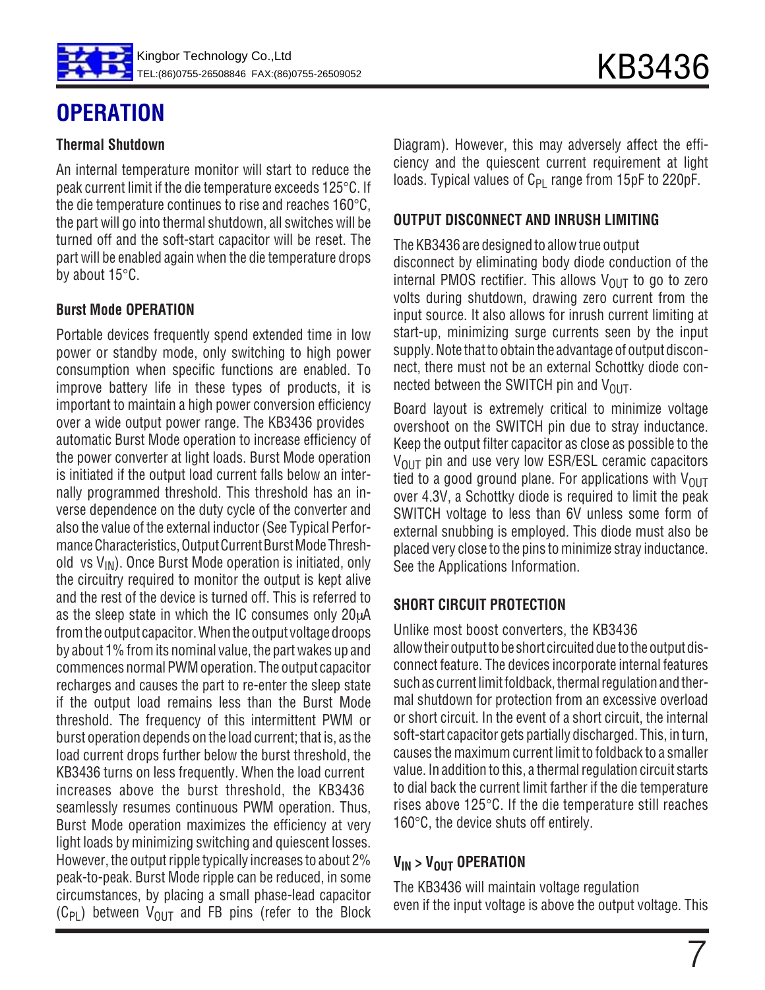

#### **Thermal Shutdown**

An internal temperature monitor will start to reduce the peak current limit if the die temperature exceeds 125°C. If the die temperature continues to rise and reaches 160°C, the part will go into thermal shutdown, all switches will be turned off and the soft-start capacitor will be reset. The part will be enabled again when the die temperature drops by about 15°C.

### **Burst Mode OPERATION**

Portable devices frequently spend extended time in low power or standby mode, only switching to high power consumption when specific functions are enabled. To improve battery life in these types of products, it is important to maintain a high power conversion efficiency over a wide output power range. The KB3436 provides automatic Burst Mode operation to increase efficiency of the power converter at light loads. Burst Mode operation is initiated if the output load current falls below an internally programmed threshold. This threshold has an inverse dependence on the duty cycle of the converter and also the value of the external inductor (See Typical Performance Characteristics, Output Current Burst Mode Threshold vs  $V_{IN}$ ). Once Burst Mode operation is initiated, only the circuitry required to monitor the output is kept alive and the rest of the device is turned off. This is referred to as the sleep state in which the IC consumes only  $20\mu A$ from the output capacitor. When the output voltage droops by about 1% from its nominal value, the part wakes up and commences normal PWM operation. The output capacitor recharges and causes the part to re-enter the sleep state if the output load remains less than the Burst Mode threshold. The frequency of this intermittent PWM or burst operation depends on the load current; that is, as the load current drops further below the burst threshold, the KB3436 turns on less frequently. When the load current increases above the burst threshold, the KB3436 seamlessly resumes continuous PWM operation. Thus, Burst Mode operation maximizes the efficiency at very light loads by minimizing switching and quiescent losses. However, the output ripple typically increases to about 2% peak-to-peak. Burst Mode ripple can be reduced, in some circumstances, by placing a small phase-lead capacitor  $(C_{PI})$  between  $V_{OUIT}$  and FB pins (refer to the Block

Diagram). However, this may adversely affect the efficiency and the quiescent current requirement at light loads. Typical values of  $C_{PI}$  range from 15pF to 220pF.

#### **OUTPUT DISCONNECT AND INRUSH LIMITING**

The KB3436 are designed to allow true output

disconnect by eliminating body diode conduction of the internal PMOS rectifier. This allows  $V_{OIIT}$  to go to zero volts during shutdown, drawing zero current from the input source. It also allows for inrush current limiting at start-up, minimizing surge currents seen by the input supply. Note that to obtain the advantage of output disconnect, there must not be an external Schottky diode connected between the SWITCH pin and  $V_{OUT}$ .

Board layout is extremely critical to minimize voltage overshoot on the SWITCH pin due to stray inductance. Keep the output filter capacitor as close as possible to the  $V_{\text{OUT}}$  pin and use very low ESR/ESL ceramic capacitors tied to a good ground plane. For applications with  $V_{OUT}$ over 4.3V, a Schottky diode is required to limit the peak SWITCH voltage to less than 6V unless some form of external snubbing is employed. This diode must also be placed very close to the pins to minimize stray inductance. See the Applications Information.

## **SHORT CIRCUIT PROTECTION**

Unlike most boost converters, the KB3436 allow their output to be short circuited due to the output disconnect feature. The devices incorporate internal features such as current limit foldback, thermal regulation and thermal shutdown for protection from an excessive overload or short circuit. In the event of a short circuit, the internal soft-start capacitor gets partially discharged. This, in turn, causes the maximum current limit to foldback to a smaller value. In addition to this, a thermal regulation circuit starts to dial back the current limit farther if the die temperature rises above 125°C. If the die temperature still reaches 160°C, the device shuts off entirely.

### **V<sub>IN</sub>** > V<sub>OUT</sub> OPERATION

The KB3436 will maintain voltage regulation even if the input voltage is above the output voltage. This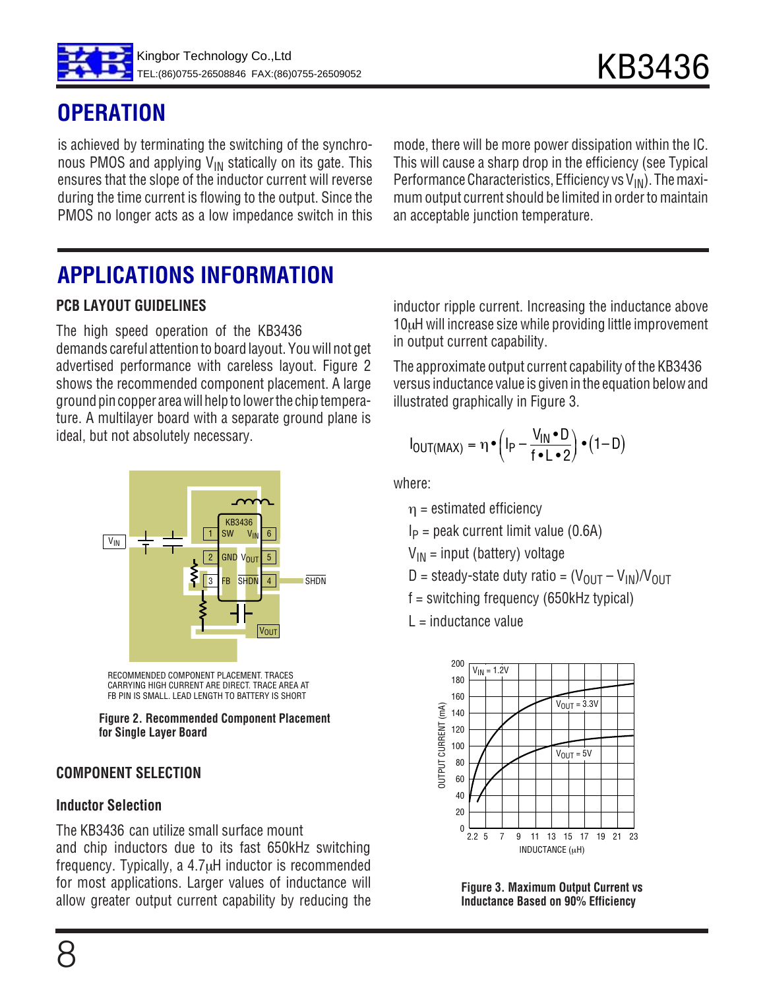

## **OPERATION**

is achieved by terminating the switching of the synchronous PMOS and applying  $V_{IN}$  statically on its gate. This ensures that the slope of the inductor current will reverse during the time current is flowing to the output. Since the PMOS no longer acts as a low impedance switch in this mode, there will be more power dissipation within the IC. This will cause a sharp drop in the efficiency (see Typical Performance Characteristics, Efficiency vs  $V_{IN}$ ). The maximum output current should be limited in order to maintain an acceptable junction temperature.

# **APPLICATIONS INFORMATION**

## **PCB LAYOUT GUIDELINES**

The high speed operation of the KB3436 demands careful attention to board layout. You will not get advertised performance with careless layout. Figure 2 shows the recommended component placement. A large ground pin copper area will help to lower the chip temperature. A multilayer board with a separate ground plane is ideal, but not absolutely necessary.



RECOMMENDED COMPONENT PLACEMENT. TRACES CARRYING HIGH CURRENT ARE DIRECT. TRACE AREA AT FB PIN IS SMALL. LEAD LENGTH TO BATTERY IS SHORT

**Figure 2. Recommended Component Placement for Single Layer Board**

### **COMPONENT SELECTION**

### **Inductor Selection**

The KB3436 can utilize small surface mount and chip inductors due to its fast 650kHz switching frequency. Typically, a 4.7µH inductor is recommended for most applications. Larger values of inductance will allow greater output current capability by reducing the inductor ripple current. Increasing the inductance above 10µH will increase size while providing little improvement in output current capability.

The approximate output current capability of the KB3436 versus inductance value is given in the equation below and illustrated graphically in Figure 3.

$$
I_{OUT(MAX)} = \eta \cdot \left(I_P - \frac{V_{IN} \cdot D}{f \cdot L \cdot 2}\right) \cdot (1 - D)
$$

where:

 $\eta$  = estimated efficiency

 $I_P$  = peak current limit value (0.6A)

 $V_{IN}$  = input (battery) voltage

D = steady-state duty ratio =  $(V_{\text{OUT}} - V_{\text{IN}})/V_{\text{OUT}}$ 

f = switching frequency (650kHz typical)

 $L =$ inductance value



**Figure 3. Maximum Output Current vs Inductance Based on 90% Efficiency**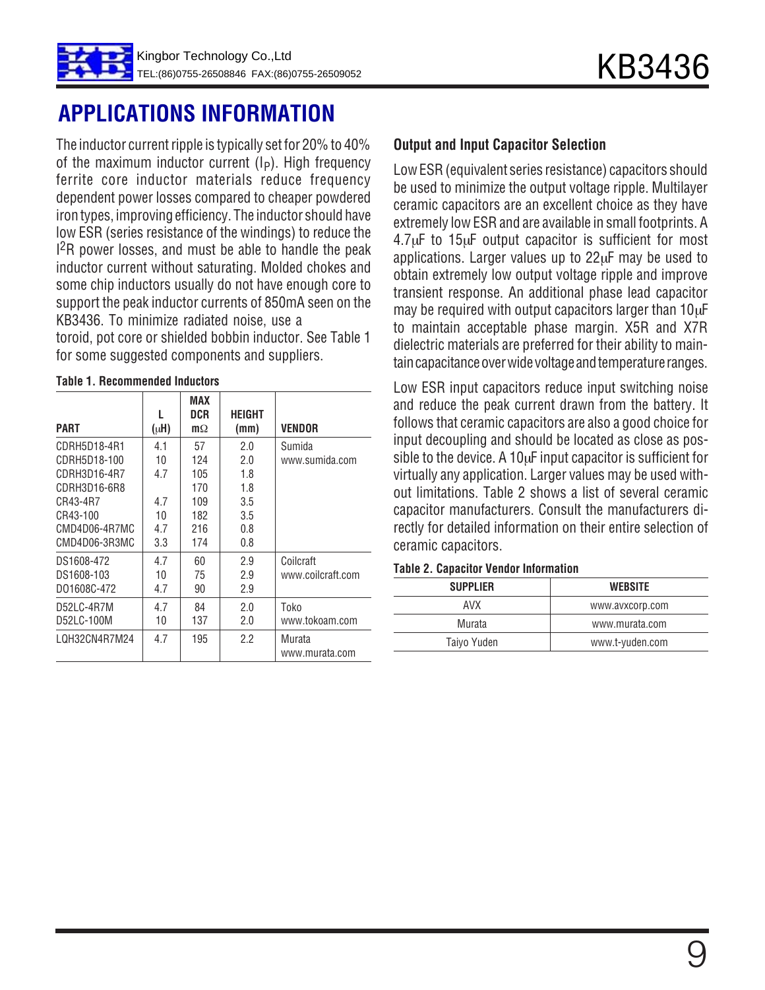# **APPLICATIONS INFORMATION**

The inductor current ripple is typically set for 20% to 40% of the maximum inductor current  $(I_P)$ . High frequency ferrite core inductor materials reduce frequency dependent power losses compared to cheaper powdered iron types, improving efficiency. The inductor should have low ESR (series resistance of the windings) to reduce the <sup>2</sup>R power losses, and must be able to handle the peak inductor current without saturating. Molded chokes and some chip inductors usually do not have enough core to support the peak inductor currents of 850mA seen on the KB3436. To minimize radiated noise, use a

toroid, pot core or shielded bobbin inductor. See Table 1 for some suggested components and suppliers.

| <b>PART</b>   | $(\mu H)$ | MAX<br>DCR<br>$m\Omega$ | <b>HEIGHT</b><br>(mm) | VENDOR            |
|---------------|-----------|-------------------------|-----------------------|-------------------|
| CDRH5D18-4R1  | 4.1       | 57                      | 2.0                   | Sumida            |
| CDRH5D18-100  | 10        | 124                     | 2.0                   | www.sumida.com    |
| CDRH3D16-4R7  | 4.7       | 105                     | 1.8                   |                   |
| CDRH3D16-6R8  |           | 170                     | 1.8                   |                   |
| CR43-4R7      | 4.7       | 109                     | 3.5                   |                   |
| CR43-100      | 10        | 182                     | 3.5                   |                   |
| CMD4D06-4R7MC | 4.7       | 216                     | 0.8                   |                   |
| CMD4D06-3R3MC | 3.3       | 174                     | 0.8                   |                   |
| DS1608-472    | 4.7       | 60                      | 2.9                   | Coilcraft         |
| DS1608-103    | 10        | 75                      | 2.9                   | www.coilcraft.com |
| D01608C-472   | 4.7       | 90                      | 2.9                   |                   |
| D52LC-4R7M    | 4.7       | 84                      | 2.0                   | Toko              |
| D52LC-100M    | 10        | 137                     | 2.0                   | www.tokoam.com    |
| LQH32CN4R7M24 | 4.7       | 195                     | 2.2                   | Murata            |
|               |           |                         |                       | www.murata.com    |

#### **Table 1. Recommended Inductors**

#### **Output and Input Capacitor Selection**

Low ESR (equivalent series resistance) capacitors should be used to minimize the output voltage ripple. Multilayer ceramic capacitors are an excellent choice as they have extremely low ESR and are available in small footprints. A 4.7µF to 15µF output capacitor is sufficient for most applications. Larger values up to 22µF may be used to obtain extremely low output voltage ripple and improve transient response. An additional phase lead capacitor may be required with output capacitors larger than 10µF to maintain acceptable phase margin. X5R and X7R dielectric materials are preferred for their ability to maintain capacitance over wide voltage and temperature ranges.

Low ESR input capacitors reduce input switching noise and reduce the peak current drawn from the battery. It follows that ceramic capacitors are also a good choice for input decoupling and should be located as close as possible to the device. A 10<sub>u</sub>F input capacitor is sufficient for virtually any application. Larger values may be used without limitations. Table 2 shows a list of several ceramic capacitor manufacturers. Consult the manufacturers directly for detailed information on their entire selection of ceramic capacitors.

#### **Table 2. Capacitor Vendor Information**

| <b>SUPPLIER</b> | <b>WEBSITE</b>  |  |  |
|-----------------|-----------------|--|--|
| AVX             | www.avxcorp.com |  |  |
| Murata          | www.murata.com  |  |  |
| Taiyo Yuden     | www.t-yuden.com |  |  |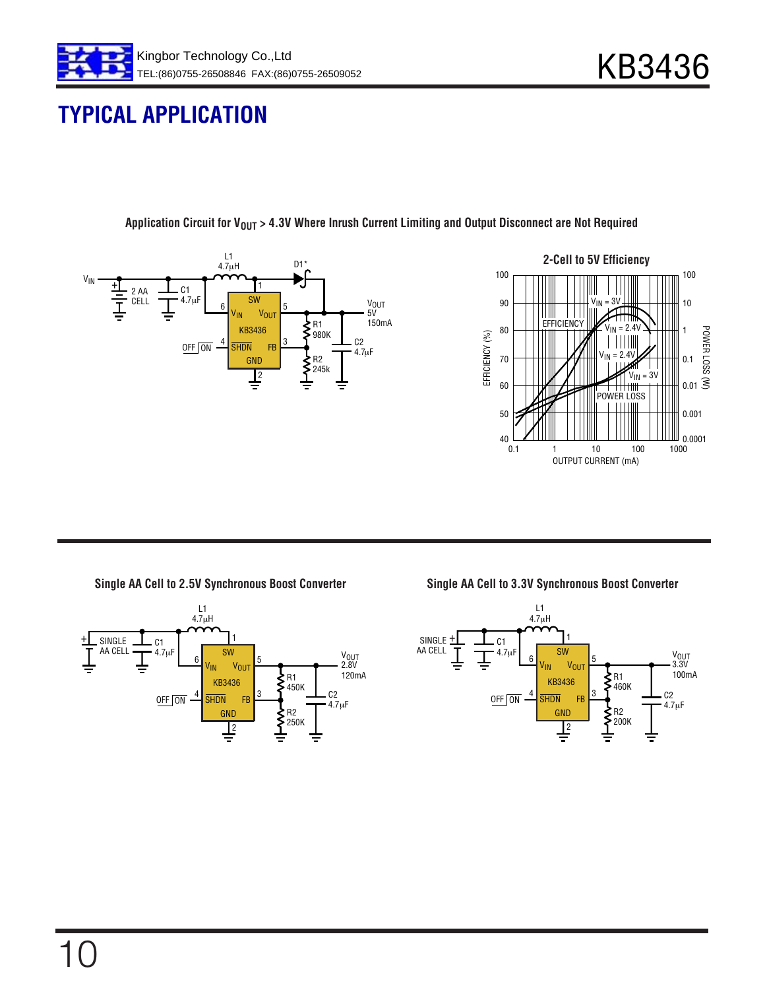

## **TYPICAL APPLICATION**





Application Circuit for V<sub>OUT</sub> > 4.3V Where Inrush Current Limiting and Output Disconnect are Not Required

**Single AA Cell to 2.5V Synchronous Boost Converter**



**Single AA Cell to 3.3V Synchronous Boost Converter**